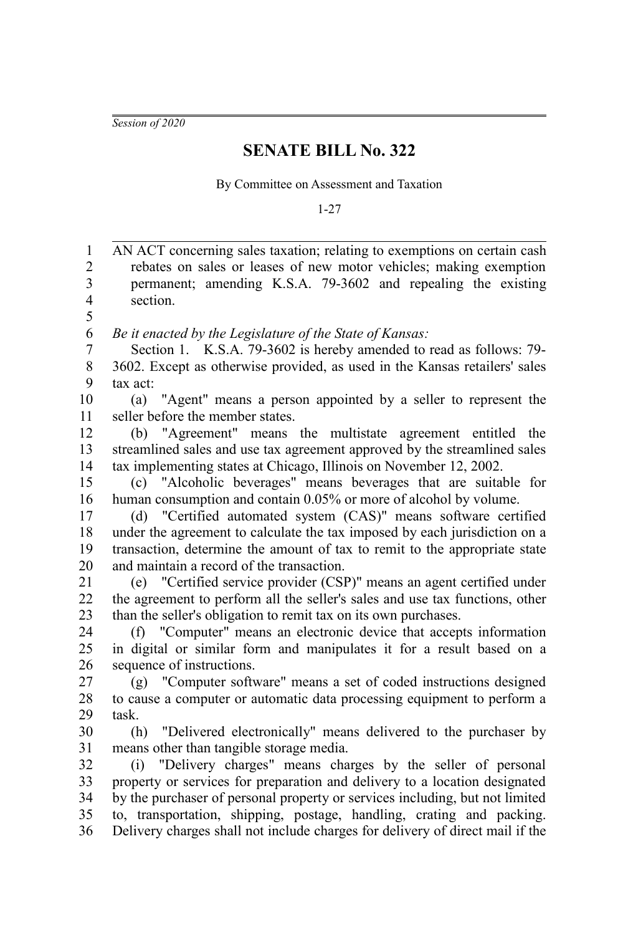*Session of 2020*

## **SENATE BILL No. 322**

By Committee on Assessment and Taxation

1-27

| $\mathbf{1}$            | AN ACT concerning sales taxation; relating to exemptions on certain cash                                                                                   |
|-------------------------|------------------------------------------------------------------------------------------------------------------------------------------------------------|
| $\overline{c}$          | rebates on sales or leases of new motor vehicles; making exemption                                                                                         |
| $\overline{\mathbf{3}}$ | permanent; amending K.S.A. 79-3602 and repealing the existing                                                                                              |
| 4                       | section.                                                                                                                                                   |
| 5                       |                                                                                                                                                            |
| 6                       | Be it enacted by the Legislature of the State of Kansas:                                                                                                   |
| $\overline{7}$          | Section 1. K.S.A. 79-3602 is hereby amended to read as follows: 79-                                                                                        |
| 8<br>9                  | 3602. Except as otherwise provided, as used in the Kansas retailers' sales                                                                                 |
| 10                      | tax act:<br>"Agent" means a person appointed by a seller to represent the<br>(a)                                                                           |
| 11                      | seller before the member states.                                                                                                                           |
| 12                      | (b) "Agreement" means the multistate agreement entitled the                                                                                                |
| 13                      | streamlined sales and use tax agreement approved by the streamlined sales                                                                                  |
| 14                      | tax implementing states at Chicago, Illinois on November 12, 2002.                                                                                         |
| 15                      | "Alcoholic beverages" means beverages that are suitable for<br>(c)                                                                                         |
| 16                      | human consumption and contain 0.05% or more of alcohol by volume.                                                                                          |
| 17                      | "Certified automated system (CAS)" means software certified<br>(d)                                                                                         |
| 18                      | under the agreement to calculate the tax imposed by each jurisdiction on a                                                                                 |
| 19                      | transaction, determine the amount of tax to remit to the appropriate state                                                                                 |
| 20                      | and maintain a record of the transaction.                                                                                                                  |
| 21                      | (e) "Certified service provider (CSP)" means an agent certified under                                                                                      |
| 22                      | the agreement to perform all the seller's sales and use tax functions, other                                                                               |
| 23                      | than the seller's obligation to remit tax on its own purchases.                                                                                            |
| 24                      | (f) "Computer" means an electronic device that accepts information                                                                                         |
| 25                      | in digital or similar form and manipulates it for a result based on a                                                                                      |
| 26                      | sequence of instructions.                                                                                                                                  |
| 27                      | (g) "Computer software" means a set of coded instructions designed                                                                                         |
| 28                      | to cause a computer or automatic data processing equipment to perform a                                                                                    |
| 29                      | task.                                                                                                                                                      |
| 30                      | "Delivered electronically" means delivered to the purchaser by<br>(h)                                                                                      |
| 31                      | means other than tangible storage media.                                                                                                                   |
| 32                      | "Delivery charges" means charges by the seller of personal<br>(i)                                                                                          |
| 33<br>34                | property or services for preparation and delivery to a location designated<br>by the purchaser of personal property or services including, but not limited |
| 35                      | to, transportation, shipping, postage, handling, crating and packing.                                                                                      |
| 36                      | Delivery charges shall not include charges for delivery of direct mail if the                                                                              |
|                         |                                                                                                                                                            |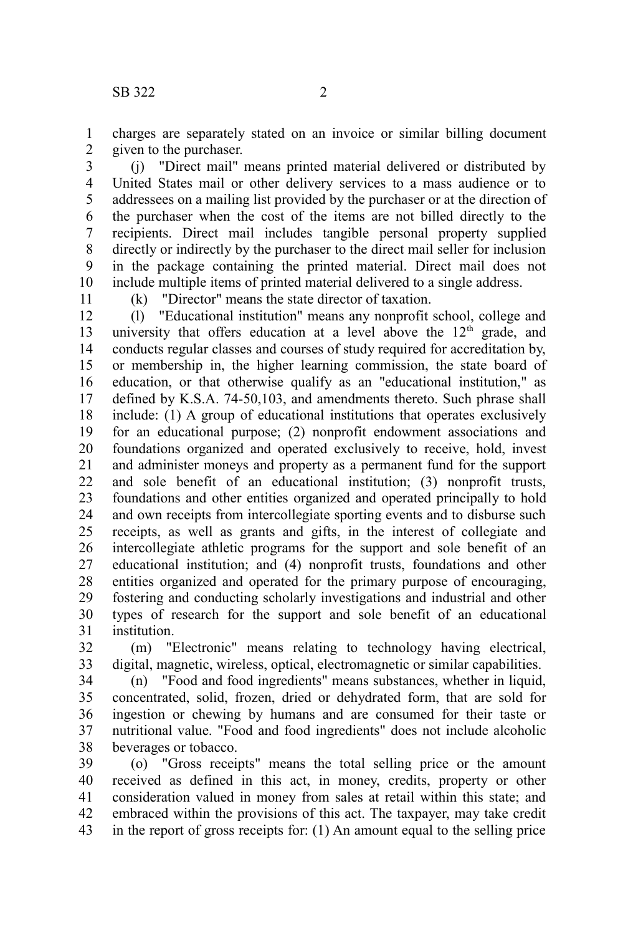charges are separately stated on an invoice or similar billing document given to the purchaser. 1 2

(j) "Direct mail" means printed material delivered or distributed by United States mail or other delivery services to a mass audience or to addressees on a mailing list provided by the purchaser or at the direction of the purchaser when the cost of the items are not billed directly to the recipients. Direct mail includes tangible personal property supplied directly or indirectly by the purchaser to the direct mail seller for inclusion in the package containing the printed material. Direct mail does not include multiple items of printed material delivered to a single address. 3 4 5 6 7 8 9 10

11

(k) "Director" means the state director of taxation.

(l) "Educational institution" means any nonprofit school, college and university that offers education at a level above the 12<sup>th</sup> grade, and conducts regular classes and courses of study required for accreditation by, or membership in, the higher learning commission, the state board of education, or that otherwise qualify as an "educational institution," as defined by K.S.A. 74-50,103, and amendments thereto. Such phrase shall include: (1) A group of educational institutions that operates exclusively for an educational purpose; (2) nonprofit endowment associations and foundations organized and operated exclusively to receive, hold, invest and administer moneys and property as a permanent fund for the support and sole benefit of an educational institution; (3) nonprofit trusts, foundations and other entities organized and operated principally to hold and own receipts from intercollegiate sporting events and to disburse such receipts, as well as grants and gifts, in the interest of collegiate and intercollegiate athletic programs for the support and sole benefit of an educational institution; and (4) nonprofit trusts, foundations and other entities organized and operated for the primary purpose of encouraging, fostering and conducting scholarly investigations and industrial and other types of research for the support and sole benefit of an educational institution. 12 13 14 15 16 17 18 19 20 21 22 23 24 25 26 27 28 29 30 31

(m) "Electronic" means relating to technology having electrical, digital, magnetic, wireless, optical, electromagnetic or similar capabilities. 32 33

(n) "Food and food ingredients" means substances, whether in liquid, concentrated, solid, frozen, dried or dehydrated form, that are sold for ingestion or chewing by humans and are consumed for their taste or nutritional value. "Food and food ingredients" does not include alcoholic beverages or tobacco. 34 35 36 37 38

(o) "Gross receipts" means the total selling price or the amount received as defined in this act, in money, credits, property or other consideration valued in money from sales at retail within this state; and embraced within the provisions of this act. The taxpayer, may take credit in the report of gross receipts for: (1) An amount equal to the selling price 39 40 41 42 43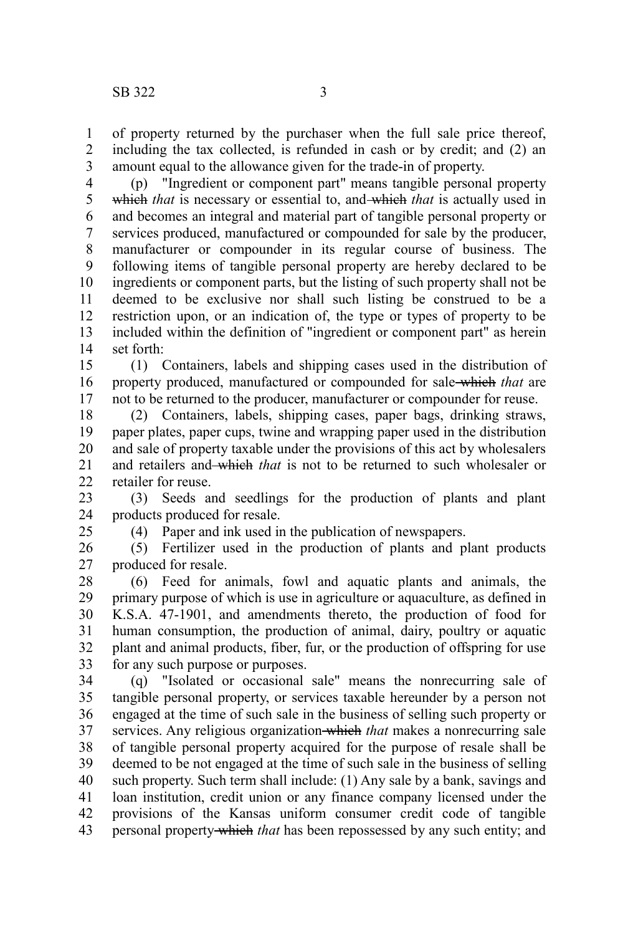25

of property returned by the purchaser when the full sale price thereof, including the tax collected, is refunded in cash or by credit; and (2) an amount equal to the allowance given for the trade-in of property. 1 2 3

(p) "Ingredient or component part" means tangible personal property which *that* is necessary or essential to, and which *that* is actually used in and becomes an integral and material part of tangible personal property or services produced, manufactured or compounded for sale by the producer, manufacturer or compounder in its regular course of business. The following items of tangible personal property are hereby declared to be ingredients or component parts, but the listing of such property shall not be deemed to be exclusive nor shall such listing be construed to be a restriction upon, or an indication of, the type or types of property to be included within the definition of "ingredient or component part" as herein set forth: 4 5 6 7 8 9 10 11 12 13 14

(1) Containers, labels and shipping cases used in the distribution of property produced, manufactured or compounded for sale which *that* are not to be returned to the producer, manufacturer or compounder for reuse. 15 16 17

(2) Containers, labels, shipping cases, paper bags, drinking straws, paper plates, paper cups, twine and wrapping paper used in the distribution and sale of property taxable under the provisions of this act by wholesalers and retailers and which *that* is not to be returned to such wholesaler or retailer for reuse. 18 19 20 21  $22$ 

(3) Seeds and seedlings for the production of plants and plant products produced for resale. 23 24

(4) Paper and ink used in the publication of newspapers.

(5) Fertilizer used in the production of plants and plant products produced for resale. 26 27

(6) Feed for animals, fowl and aquatic plants and animals, the primary purpose of which is use in agriculture or aquaculture, as defined in K.S.A. 47-1901, and amendments thereto, the production of food for human consumption, the production of animal, dairy, poultry or aquatic plant and animal products, fiber, fur, or the production of offspring for use for any such purpose or purposes. 28 29 30 31 32 33

(q) "Isolated or occasional sale" means the nonrecurring sale of tangible personal property, or services taxable hereunder by a person not engaged at the time of such sale in the business of selling such property or services. Any religious organization which *that* makes a nonrecurring sale of tangible personal property acquired for the purpose of resale shall be deemed to be not engaged at the time of such sale in the business of selling such property. Such term shall include: (1) Any sale by a bank, savings and loan institution, credit union or any finance company licensed under the provisions of the Kansas uniform consumer credit code of tangible personal property which *that* has been repossessed by any such entity; and 34 35 36 37 38 39 40 41 42 43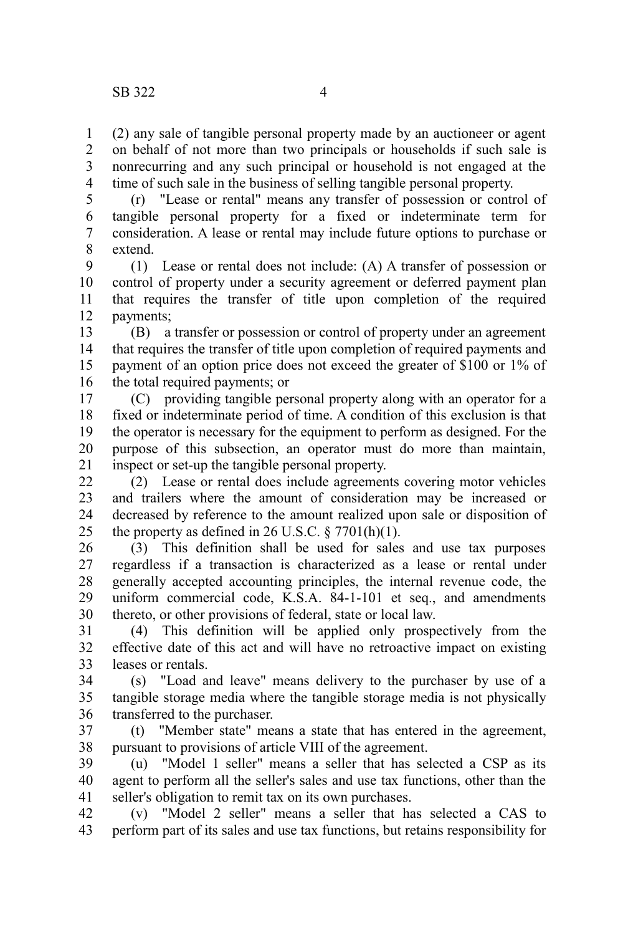(2) any sale of tangible personal property made by an auctioneer or agent on behalf of not more than two principals or households if such sale is nonrecurring and any such principal or household is not engaged at the time of such sale in the business of selling tangible personal property. 1  $\mathcal{L}$ 3 4

(r) "Lease or rental" means any transfer of possession or control of tangible personal property for a fixed or indeterminate term for consideration. A lease or rental may include future options to purchase or extend. 5 6 7 8

(1) Lease or rental does not include: (A) A transfer of possession or control of property under a security agreement or deferred payment plan that requires the transfer of title upon completion of the required payments; 9 10 11 12

(B) a transfer or possession or control of property under an agreement that requires the transfer of title upon completion of required payments and payment of an option price does not exceed the greater of \$100 or 1% of the total required payments; or 13 14 15 16

(C) providing tangible personal property along with an operator for a fixed or indeterminate period of time. A condition of this exclusion is that the operator is necessary for the equipment to perform as designed. For the purpose of this subsection, an operator must do more than maintain, inspect or set-up the tangible personal property. 17 18 19 20 21

(2) Lease or rental does include agreements covering motor vehicles and trailers where the amount of consideration may be increased or decreased by reference to the amount realized upon sale or disposition of the property as defined in 26 U.S.C.  $\S 7701(h)(1)$ . 22 23 24 25

(3) This definition shall be used for sales and use tax purposes regardless if a transaction is characterized as a lease or rental under generally accepted accounting principles, the internal revenue code, the uniform commercial code, K.S.A. 84-1-101 et seq., and amendments thereto, or other provisions of federal, state or local law. 26 27 28 29 30

(4) This definition will be applied only prospectively from the effective date of this act and will have no retroactive impact on existing leases or rentals. 31 32 33

(s) "Load and leave" means delivery to the purchaser by use of a tangible storage media where the tangible storage media is not physically transferred to the purchaser. 34 35 36

(t) "Member state" means a state that has entered in the agreement, pursuant to provisions of article VIII of the agreement. 37 38

(u) "Model 1 seller" means a seller that has selected a CSP as its agent to perform all the seller's sales and use tax functions, other than the seller's obligation to remit tax on its own purchases. 39 40 41

(v) "Model 2 seller" means a seller that has selected a CAS to perform part of its sales and use tax functions, but retains responsibility for 42 43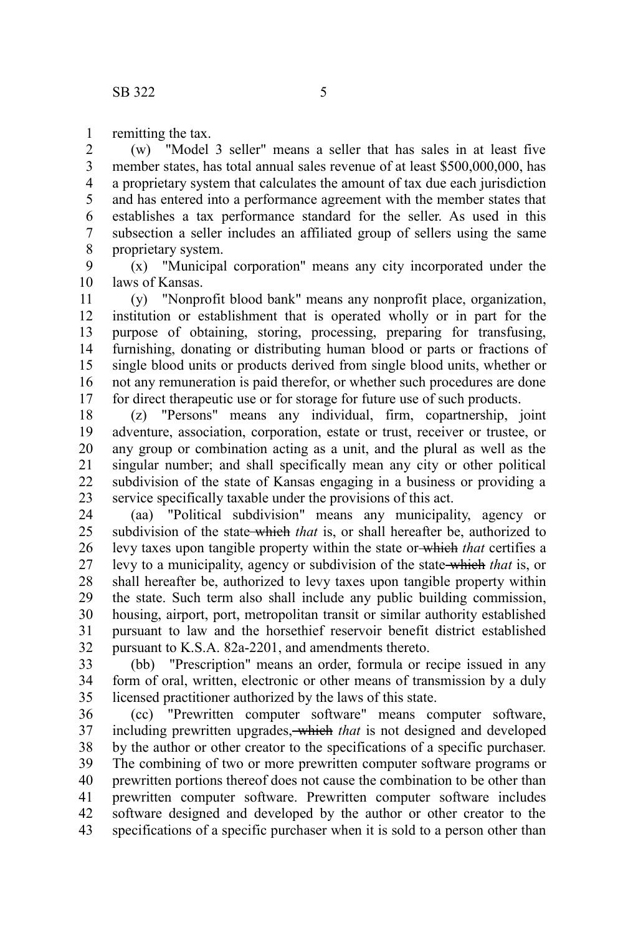remitting the tax. 1

(w) "Model 3 seller" means a seller that has sales in at least five member states, has total annual sales revenue of at least \$500,000,000, has a proprietary system that calculates the amount of tax due each jurisdiction and has entered into a performance agreement with the member states that establishes a tax performance standard for the seller. As used in this subsection a seller includes an affiliated group of sellers using the same proprietary system. 2 3 4 5 6 7 8

(x) "Municipal corporation" means any city incorporated under the laws of Kansas. 9 10

(y) "Nonprofit blood bank" means any nonprofit place, organization, institution or establishment that is operated wholly or in part for the purpose of obtaining, storing, processing, preparing for transfusing, furnishing, donating or distributing human blood or parts or fractions of single blood units or products derived from single blood units, whether or not any remuneration is paid therefor, or whether such procedures are done for direct therapeutic use or for storage for future use of such products. 11 12 13 14 15 16 17

(z) "Persons" means any individual, firm, copartnership, joint adventure, association, corporation, estate or trust, receiver or trustee, or any group or combination acting as a unit, and the plural as well as the singular number; and shall specifically mean any city or other political subdivision of the state of Kansas engaging in a business or providing a service specifically taxable under the provisions of this act. 18 19 20 21 22 23

(aa) "Political subdivision" means any municipality, agency or subdivision of the state which *that* is, or shall hereafter be, authorized to levy taxes upon tangible property within the state or which *that* certifies a levy to a municipality, agency or subdivision of the state which *that* is, or shall hereafter be, authorized to levy taxes upon tangible property within the state. Such term also shall include any public building commission, housing, airport, port, metropolitan transit or similar authority established pursuant to law and the horsethief reservoir benefit district established pursuant to K.S.A. 82a-2201, and amendments thereto. 24 25 26 27 28 29 30 31 32

(bb) "Prescription" means an order, formula or recipe issued in any form of oral, written, electronic or other means of transmission by a duly licensed practitioner authorized by the laws of this state. 33 34 35

(cc) "Prewritten computer software" means computer software, including prewritten upgrades, which *that* is not designed and developed by the author or other creator to the specifications of a specific purchaser. The combining of two or more prewritten computer software programs or prewritten portions thereof does not cause the combination to be other than prewritten computer software. Prewritten computer software includes software designed and developed by the author or other creator to the specifications of a specific purchaser when it is sold to a person other than 36 37 38 39 40 41 42 43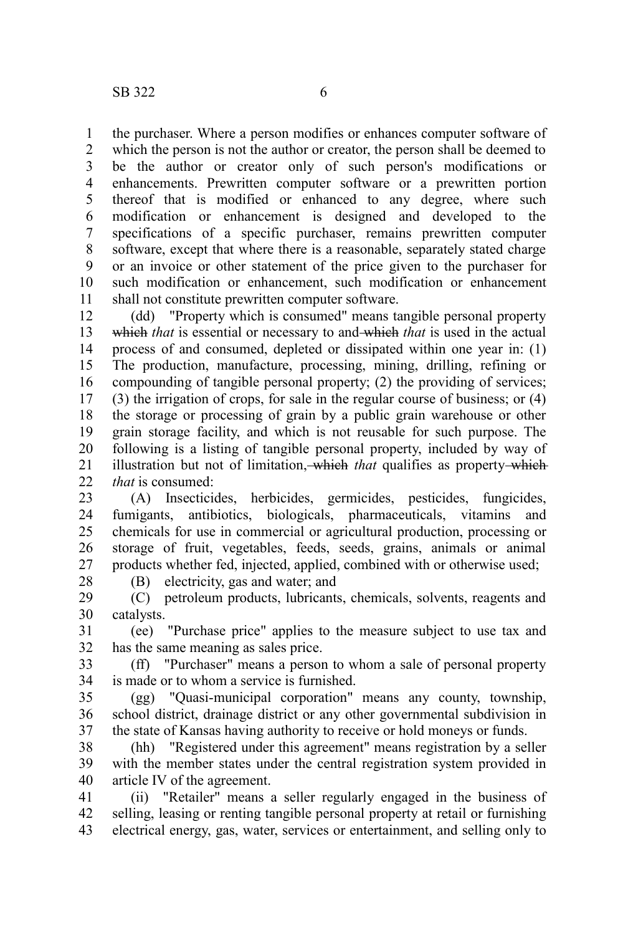the purchaser. Where a person modifies or enhances computer software of 1

which the person is not the author or creator, the person shall be deemed to be the author or creator only of such person's modifications or enhancements. Prewritten computer software or a prewritten portion thereof that is modified or enhanced to any degree, where such modification or enhancement is designed and developed to the specifications of a specific purchaser, remains prewritten computer software, except that where there is a reasonable, separately stated charge or an invoice or other statement of the price given to the purchaser for such modification or enhancement, such modification or enhancement shall not constitute prewritten computer software. 2 3 4 5 6 7 8 9 10 11

(dd) "Property which is consumed" means tangible personal property which *that* is essential or necessary to and which *that* is used in the actual process of and consumed, depleted or dissipated within one year in: (1) The production, manufacture, processing, mining, drilling, refining or compounding of tangible personal property; (2) the providing of services; (3) the irrigation of crops, for sale in the regular course of business; or (4) the storage or processing of grain by a public grain warehouse or other grain storage facility, and which is not reusable for such purpose. The following is a listing of tangible personal property, included by way of illustration but not of limitation, which *that* qualifies as property which *that* is consumed: 12 13 14 15 16 17 18 19 20 21  $22$ 

(A) Insecticides, herbicides, germicides, pesticides, fungicides, fumigants, antibiotics, biologicals, pharmaceuticals, vitamins and chemicals for use in commercial or agricultural production, processing or storage of fruit, vegetables, feeds, seeds, grains, animals or animal products whether fed, injected, applied, combined with or otherwise used; 23 24 25 26 27 28

(B) electricity, gas and water; and

(C) petroleum products, lubricants, chemicals, solvents, reagents and catalysts. 29 30

(ee) "Purchase price" applies to the measure subject to use tax and has the same meaning as sales price. 31 32

(ff) "Purchaser" means a person to whom a sale of personal property is made or to whom a service is furnished. 33 34

(gg) "Quasi-municipal corporation" means any county, township, school district, drainage district or any other governmental subdivision in the state of Kansas having authority to receive or hold moneys or funds. 35 36 37

(hh) "Registered under this agreement" means registration by a seller with the member states under the central registration system provided in article IV of the agreement. 38 39 40

(ii) "Retailer" means a seller regularly engaged in the business of selling, leasing or renting tangible personal property at retail or furnishing electrical energy, gas, water, services or entertainment, and selling only to 41 42 43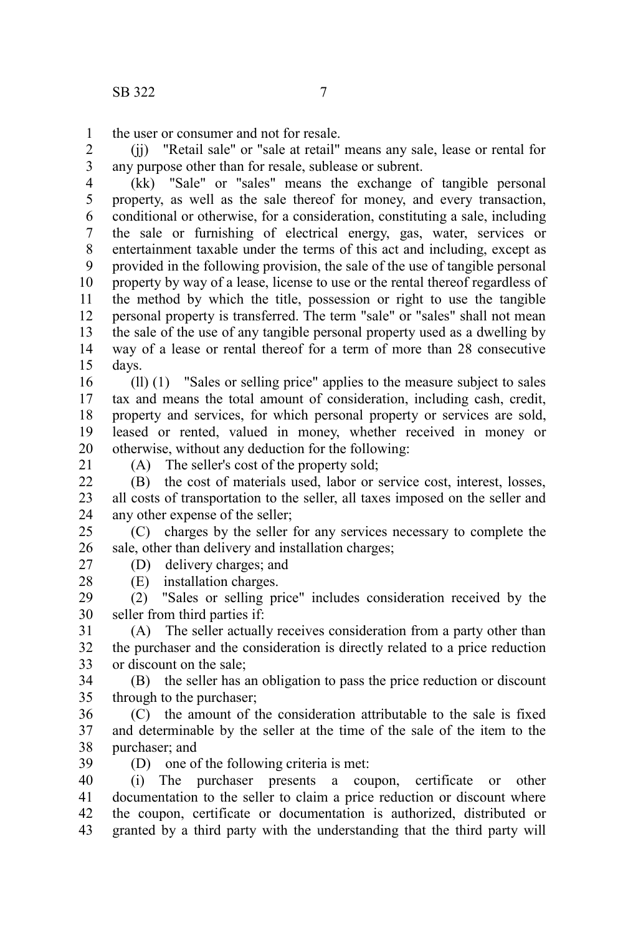the user or consumer and not for resale. 1

(jj) "Retail sale" or "sale at retail" means any sale, lease or rental for any purpose other than for resale, sublease or subrent. 2 3

(kk) "Sale" or "sales" means the exchange of tangible personal property, as well as the sale thereof for money, and every transaction, conditional or otherwise, for a consideration, constituting a sale, including the sale or furnishing of electrical energy, gas, water, services or entertainment taxable under the terms of this act and including, except as provided in the following provision, the sale of the use of tangible personal property by way of a lease, license to use or the rental thereof regardless of the method by which the title, possession or right to use the tangible personal property is transferred. The term "sale" or "sales" shall not mean the sale of the use of any tangible personal property used as a dwelling by way of a lease or rental thereof for a term of more than 28 consecutive days. 4 5 6 7 8 9 10 11 12 13 14 15

(ll) (1) "Sales or selling price" applies to the measure subject to sales tax and means the total amount of consideration, including cash, credit, property and services, for which personal property or services are sold, leased or rented, valued in money, whether received in money or otherwise, without any deduction for the following: 16 17 18 19 20

21

(A) The seller's cost of the property sold;

(B) the cost of materials used, labor or service cost, interest, losses, all costs of transportation to the seller, all taxes imposed on the seller and any other expense of the seller;  $22$ 23 24

(C) charges by the seller for any services necessary to complete the sale, other than delivery and installation charges; 25 26

27 28 (D) delivery charges; and (E) installation charges.

(2) "Sales or selling price" includes consideration received by the seller from third parties if: 29 30

(A) The seller actually receives consideration from a party other than the purchaser and the consideration is directly related to a price reduction or discount on the sale; 31 32 33

(B) the seller has an obligation to pass the price reduction or discount through to the purchaser; 34 35

(C) the amount of the consideration attributable to the sale is fixed and determinable by the seller at the time of the sale of the item to the purchaser; and 36 37 38

(D) one of the following criteria is met: 39

(i) The purchaser presents a coupon, certificate or other documentation to the seller to claim a price reduction or discount where the coupon, certificate or documentation is authorized, distributed or granted by a third party with the understanding that the third party will 40 41 42 43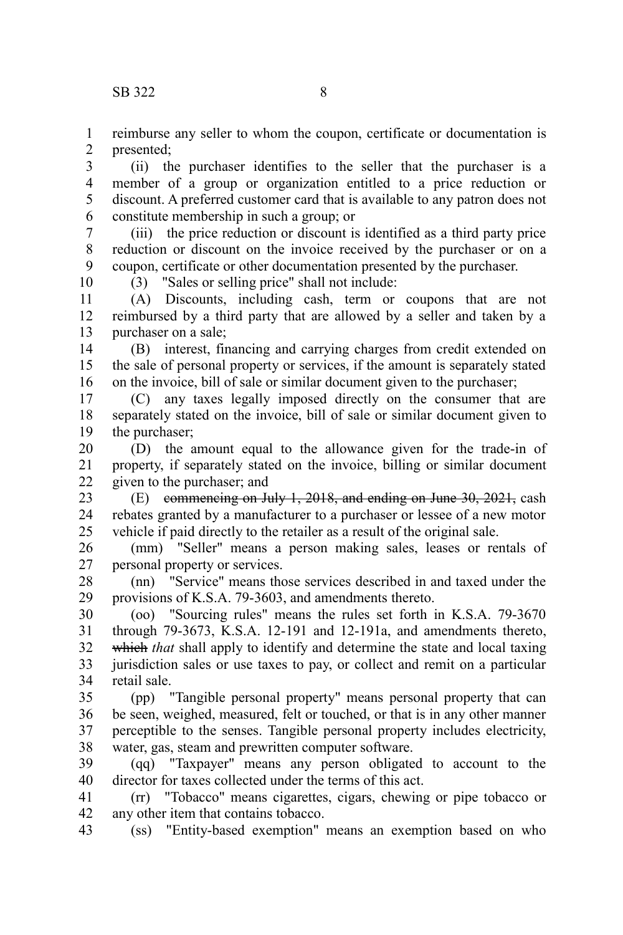reimburse any seller to whom the coupon, certificate or documentation is presented; 1 2

(ii) the purchaser identifies to the seller that the purchaser is a member of a group or organization entitled to a price reduction or discount. A preferred customer card that is available to any patron does not constitute membership in such a group; or 3 4 5 6

(iii) the price reduction or discount is identified as a third party price reduction or discount on the invoice received by the purchaser or on a coupon, certificate or other documentation presented by the purchaser. 7 8 9 10

(3) "Sales or selling price" shall not include:

(A) Discounts, including cash, term or coupons that are not reimbursed by a third party that are allowed by a seller and taken by a purchaser on a sale; 11 12 13

(B) interest, financing and carrying charges from credit extended on the sale of personal property or services, if the amount is separately stated on the invoice, bill of sale or similar document given to the purchaser; 14 15 16

(C) any taxes legally imposed directly on the consumer that are separately stated on the invoice, bill of sale or similar document given to the purchaser; 17 18 19

(D) the amount equal to the allowance given for the trade-in of property, if separately stated on the invoice, billing or similar document given to the purchaser; and 20 21 22

(E) commencing on July 1, 2018, and ending on June 30, 2021, cash rebates granted by a manufacturer to a purchaser or lessee of a new motor vehicle if paid directly to the retailer as a result of the original sale. 23 24 25

(mm) "Seller" means a person making sales, leases or rentals of personal property or services. 26 27

(nn) "Service" means those services described in and taxed under the provisions of K.S.A. 79-3603, and amendments thereto. 28 29

(oo) "Sourcing rules" means the rules set forth in K.S.A. 79-3670 through 79-3673, K.S.A. 12-191 and 12-191a, and amendments thereto, which *that* shall apply to identify and determine the state and local taxing jurisdiction sales or use taxes to pay, or collect and remit on a particular retail sale. 30 31 32 33 34

(pp) "Tangible personal property" means personal property that can be seen, weighed, measured, felt or touched, or that is in any other manner perceptible to the senses. Tangible personal property includes electricity, water, gas, steam and prewritten computer software. 35 36 37 38

(qq) "Taxpayer" means any person obligated to account to the director for taxes collected under the terms of this act. 39 40

(rr) "Tobacco" means cigarettes, cigars, chewing or pipe tobacco or any other item that contains tobacco. 41 42

(ss) "Entity-based exemption" means an exemption based on who 43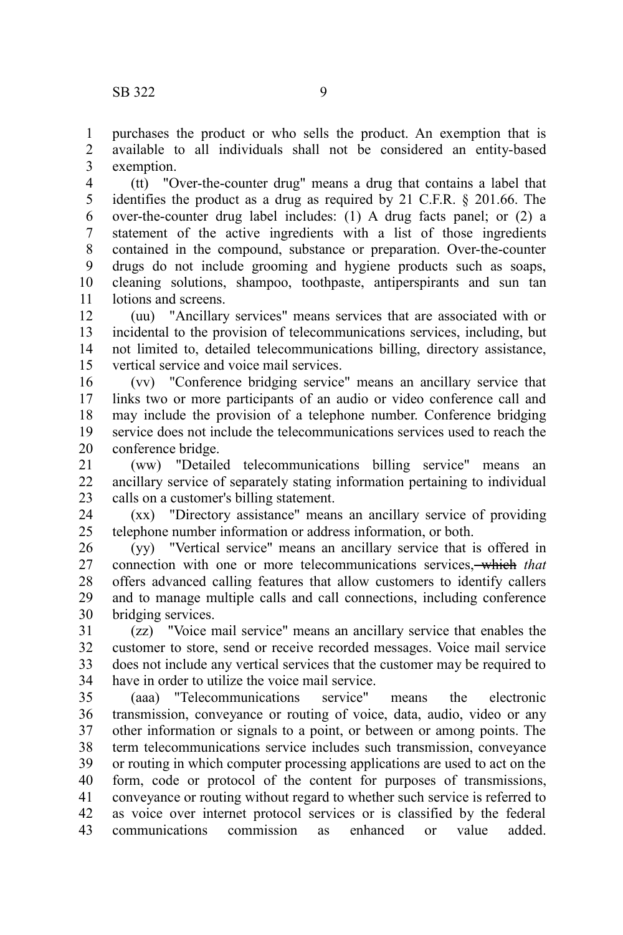purchases the product or who sells the product. An exemption that is available to all individuals shall not be considered an entity-based exemption. 1 2 3

(tt) "Over-the-counter drug" means a drug that contains a label that identifies the product as a drug as required by 21 C.F.R. § 201.66. The over-the-counter drug label includes: (1) A drug facts panel; or (2) a statement of the active ingredients with a list of those ingredients contained in the compound, substance or preparation. Over-the-counter drugs do not include grooming and hygiene products such as soaps, cleaning solutions, shampoo, toothpaste, antiperspirants and sun tan lotions and screens. 4 5 6 7 8 9 10 11

(uu) "Ancillary services" means services that are associated with or incidental to the provision of telecommunications services, including, but not limited to, detailed telecommunications billing, directory assistance, vertical service and voice mail services. 12 13 14 15

(vv) "Conference bridging service" means an ancillary service that links two or more participants of an audio or video conference call and may include the provision of a telephone number. Conference bridging service does not include the telecommunications services used to reach the conference bridge. 16 17 18 19 20

(ww) "Detailed telecommunications billing service" means an ancillary service of separately stating information pertaining to individual calls on a customer's billing statement. 21 22 23

(xx) "Directory assistance" means an ancillary service of providing telephone number information or address information, or both. 24 25

(yy) "Vertical service" means an ancillary service that is offered in connection with one or more telecommunications services, which *that* offers advanced calling features that allow customers to identify callers and to manage multiple calls and call connections, including conference bridging services. 26 27 28 29 30

(zz) "Voice mail service" means an ancillary service that enables the customer to store, send or receive recorded messages. Voice mail service does not include any vertical services that the customer may be required to have in order to utilize the voice mail service. 31 32 33 34

(aaa) "Telecommunications service" means the electronic transmission, conveyance or routing of voice, data, audio, video or any other information or signals to a point, or between or among points. The term telecommunications service includes such transmission, conveyance or routing in which computer processing applications are used to act on the form, code or protocol of the content for purposes of transmissions, conveyance or routing without regard to whether such service is referred to as voice over internet protocol services or is classified by the federal communications commission as enhanced or value added. 35 36 37 38 39 40 41 42 43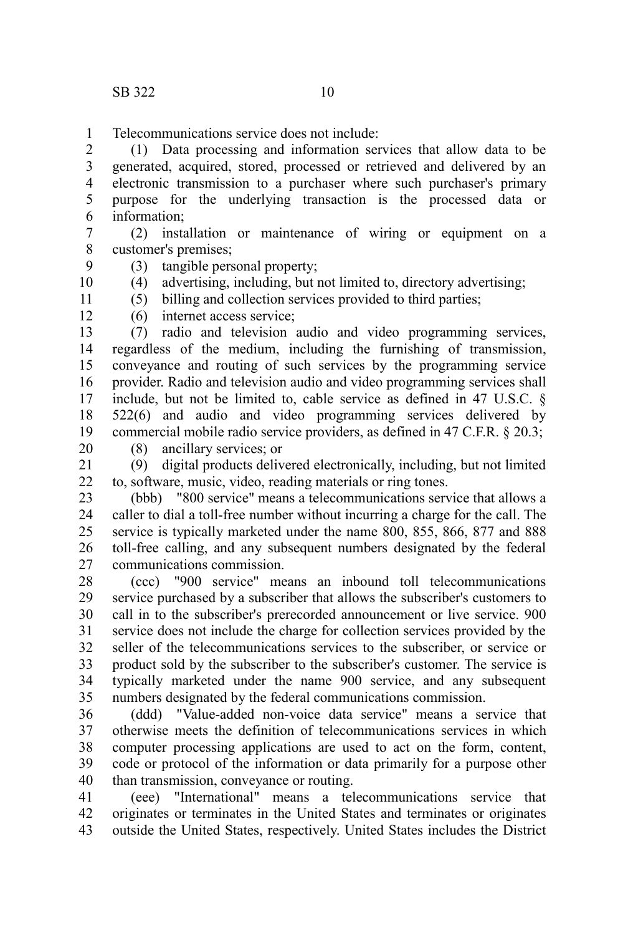Telecommunications service does not include: 1

(1) Data processing and information services that allow data to be generated, acquired, stored, processed or retrieved and delivered by an electronic transmission to a purchaser where such purchaser's primary purpose for the underlying transaction is the processed data or information; 2 3 4 5 6

(2) installation or maintenance of wiring or equipment on a customer's premises; 7 8

(3) tangible personal property;

(4) advertising, including, but not limited to, directory advertising; 10

(5) billing and collection services provided to third parties;

(6) internet access service; 12

(7) radio and television audio and video programming services, regardless of the medium, including the furnishing of transmission, conveyance and routing of such services by the programming service provider. Radio and television audio and video programming services shall include, but not be limited to, cable service as defined in 47 U.S.C. § 522(6) and audio and video programming services delivered by commercial mobile radio service providers, as defined in 47 C.F.R. § 20.3; 13 14 15 16 17 18 19

20

9

11

(8) ancillary services; or

(9) digital products delivered electronically, including, but not limited to, software, music, video, reading materials or ring tones. 21 22

(bbb) "800 service" means a telecommunications service that allows a caller to dial a toll-free number without incurring a charge for the call. The service is typically marketed under the name 800, 855, 866, 877 and 888 toll-free calling, and any subsequent numbers designated by the federal communications commission. 23 24 25 26 27

(ccc) "900 service" means an inbound toll telecommunications service purchased by a subscriber that allows the subscriber's customers to call in to the subscriber's prerecorded announcement or live service. 900 service does not include the charge for collection services provided by the seller of the telecommunications services to the subscriber, or service or product sold by the subscriber to the subscriber's customer. The service is typically marketed under the name 900 service, and any subsequent numbers designated by the federal communications commission. 28 29 30 31 32 33 34 35

(ddd) "Value-added non-voice data service" means a service that otherwise meets the definition of telecommunications services in which computer processing applications are used to act on the form, content, code or protocol of the information or data primarily for a purpose other than transmission, conveyance or routing. 36 37 38 39 40

(eee) "International" means a telecommunications service that originates or terminates in the United States and terminates or originates outside the United States, respectively. United States includes the District 41 42 43